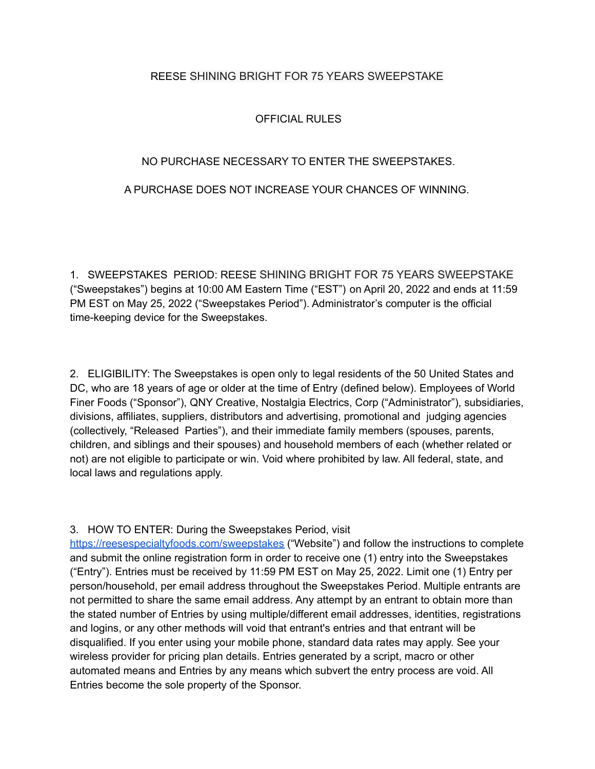# REESE SHINING BRIGHT FOR 75 YEARS SWEEPSTAKE

# OFFICIAL RULES

## NO PURCHASE NECESSARY TO ENTER THE SWEEPSTAKES.

# A PURCHASE DOES NOT INCREASE YOUR CHANCES OF WINNING.

1. SWEEPSTAKES PERIOD: REESE SHINING BRIGHT FOR 75 YEARS SWEEPSTAKE ("Sweepstakes") begins at 10:00 AM Eastern Time ("EST") on April 20, 2022 and ends at 11:59 PM EST on May 25, 2022 ("Sweepstakes Period"). Administrator's computer is the official time-keeping device for the Sweepstakes.

2. ELIGIBILITY: The Sweepstakes is open only to legal residents of the 50 United States and DC, who are 18 years of age or older at the time of Entry (defined below). Employees of World Finer Foods ("Sponsor"), QNY Creative, Nostalgia Electrics, Corp ("Administrator"), subsidiaries, divisions, affiliates, suppliers, distributors and advertising, promotional and judging agencies (collectively, "Released Parties"), and their immediate family members (spouses, parents, children, and siblings and their spouses) and household members of each (whether related or not) are not eligible to participate or win. Void where prohibited by law. All federal, state, and local laws and regulations apply.

#### 3. HOW TO ENTER: During the Sweepstakes Period, visit

<https://reesespecialtyfoods.com/sweepstakes> ("Website") and follow the instructions to complete and submit the online registration form in order to receive one (1) entry into the Sweepstakes ("Entry"). Entries must be received by 11:59 PM EST on May 25, 2022. Limit one (1) Entry per person/household, per email address throughout the Sweepstakes Period. Multiple entrants are not permitted to share the same email address. Any attempt by an entrant to obtain more than the stated number of Entries by using multiple/different email addresses, identities, registrations and logins, or any other methods will void that entrant's entries and that entrant will be disqualified. If you enter using your mobile phone, standard data rates may apply. See your wireless provider for pricing plan details. Entries generated by a script, macro or other automated means and Entries by any means which subvert the entry process are void. All Entries become the sole property of the Sponsor.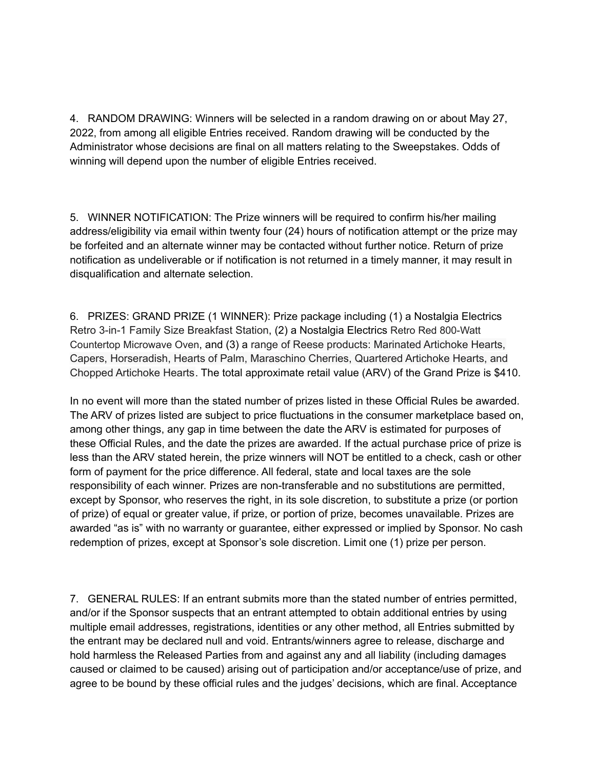4. RANDOM DRAWING: Winners will be selected in a random drawing on or about May 27, 2022, from among all eligible Entries received. Random drawing will be conducted by the Administrator whose decisions are final on all matters relating to the Sweepstakes. Odds of winning will depend upon the number of eligible Entries received.

5. WINNER NOTIFICATION: The Prize winners will be required to confirm his/her mailing address/eligibility via email within twenty four (24) hours of notification attempt or the prize may be forfeited and an alternate winner may be contacted without further notice. Return of prize notification as undeliverable or if notification is not returned in a timely manner, it may result in disqualification and alternate selection.

6. PRIZES: GRAND PRIZE (1 WINNER): Prize package including (1) a Nostalgia Electrics Retro 3-in-1 Family Size Breakfast Station, (2) a Nostalgia Electrics Retro Red 800-Watt Countertop Microwave Oven, and (3) a range of Reese products: Marinated Artichoke Hearts, Capers, Horseradish, Hearts of Palm, Maraschino Cherries, Quartered Artichoke Hearts, and Chopped Artichoke Hearts. The total approximate retail value (ARV) of the Grand Prize is \$410.

In no event will more than the stated number of prizes listed in these Official Rules be awarded. The ARV of prizes listed are subject to price fluctuations in the consumer marketplace based on, among other things, any gap in time between the date the ARV is estimated for purposes of these Official Rules, and the date the prizes are awarded. If the actual purchase price of prize is less than the ARV stated herein, the prize winners will NOT be entitled to a check, cash or other form of payment for the price difference. All federal, state and local taxes are the sole responsibility of each winner. Prizes are non-transferable and no substitutions are permitted, except by Sponsor, who reserves the right, in its sole discretion, to substitute a prize (or portion of prize) of equal or greater value, if prize, or portion of prize, becomes unavailable. Prizes are awarded "as is" with no warranty or guarantee, either expressed or implied by Sponsor. No cash redemption of prizes, except at Sponsor's sole discretion. Limit one (1) prize per person.

7. GENERAL RULES: If an entrant submits more than the stated number of entries permitted, and/or if the Sponsor suspects that an entrant attempted to obtain additional entries by using multiple email addresses, registrations, identities or any other method, all Entries submitted by the entrant may be declared null and void. Entrants/winners agree to release, discharge and hold harmless the Released Parties from and against any and all liability (including damages caused or claimed to be caused) arising out of participation and/or acceptance/use of prize, and agree to be bound by these official rules and the judges' decisions, which are final. Acceptance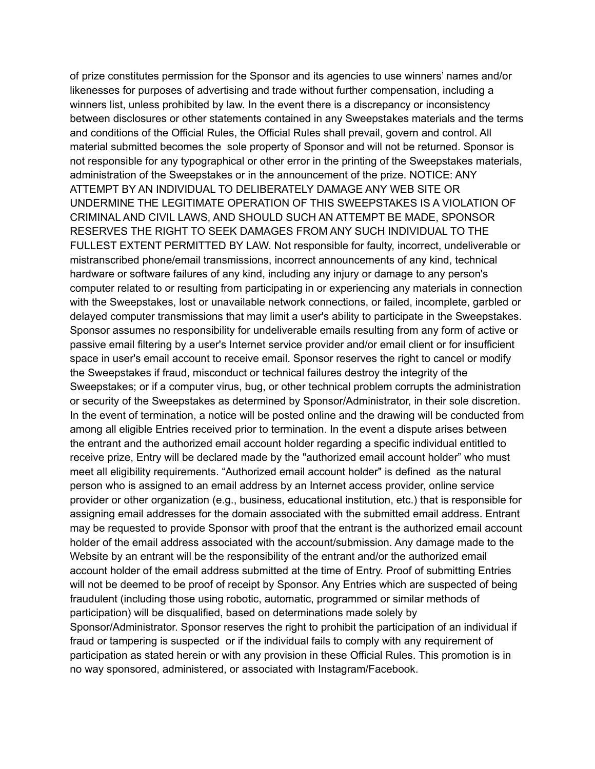of prize constitutes permission for the Sponsor and its agencies to use winners' names and/or likenesses for purposes of advertising and trade without further compensation, including a winners list, unless prohibited by law. In the event there is a discrepancy or inconsistency between disclosures or other statements contained in any Sweepstakes materials and the terms and conditions of the Official Rules, the Official Rules shall prevail, govern and control. All material submitted becomes the sole property of Sponsor and will not be returned. Sponsor is not responsible for any typographical or other error in the printing of the Sweepstakes materials, administration of the Sweepstakes or in the announcement of the prize. NOTICE: ANY ATTEMPT BY AN INDIVIDUAL TO DELIBERATELY DAMAGE ANY WEB SITE OR UNDERMINE THE LEGITIMATE OPERATION OF THIS SWEEPSTAKES IS A VIOLATION OF CRIMINAL AND CIVIL LAWS, AND SHOULD SUCH AN ATTEMPT BE MADE, SPONSOR RESERVES THE RIGHT TO SEEK DAMAGES FROM ANY SUCH INDIVIDUAL TO THE FULLEST EXTENT PERMITTED BY LAW. Not responsible for faulty, incorrect, undeliverable or mistranscribed phone/email transmissions, incorrect announcements of any kind, technical hardware or software failures of any kind, including any injury or damage to any person's computer related to or resulting from participating in or experiencing any materials in connection with the Sweepstakes, lost or unavailable network connections, or failed, incomplete, garbled or delayed computer transmissions that may limit a user's ability to participate in the Sweepstakes. Sponsor assumes no responsibility for undeliverable emails resulting from any form of active or passive email filtering by a user's Internet service provider and/or email client or for insufficient space in user's email account to receive email. Sponsor reserves the right to cancel or modify the Sweepstakes if fraud, misconduct or technical failures destroy the integrity of the Sweepstakes; or if a computer virus, bug, or other technical problem corrupts the administration or security of the Sweepstakes as determined by Sponsor/Administrator, in their sole discretion. In the event of termination, a notice will be posted online and the drawing will be conducted from among all eligible Entries received prior to termination. In the event a dispute arises between the entrant and the authorized email account holder regarding a specific individual entitled to receive prize, Entry will be declared made by the "authorized email account holder" who must meet all eligibility requirements. "Authorized email account holder" is defined as the natural person who is assigned to an email address by an Internet access provider, online service provider or other organization (e.g., business, educational institution, etc.) that is responsible for assigning email addresses for the domain associated with the submitted email address. Entrant may be requested to provide Sponsor with proof that the entrant is the authorized email account holder of the email address associated with the account/submission. Any damage made to the Website by an entrant will be the responsibility of the entrant and/or the authorized email account holder of the email address submitted at the time of Entry. Proof of submitting Entries will not be deemed to be proof of receipt by Sponsor. Any Entries which are suspected of being fraudulent (including those using robotic, automatic, programmed or similar methods of participation) will be disqualified, based on determinations made solely by Sponsor/Administrator. Sponsor reserves the right to prohibit the participation of an individual if fraud or tampering is suspected or if the individual fails to comply with any requirement of participation as stated herein or with any provision in these Official Rules. This promotion is in no way sponsored, administered, or associated with Instagram/Facebook.